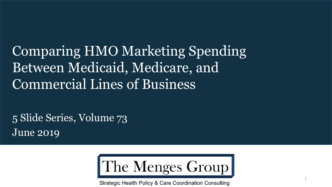Comparing HMO Marketing Spending Between Medicaid, Medicare, and Commercial Lines of Business

5 Slide Series, Volume 73 June 2019



Strategic Health Policy & Care Coordination Consulting

1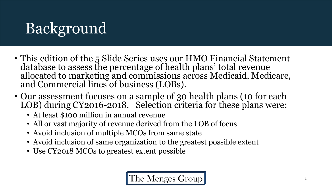# Background

- This edition of the 5 Slide Series uses our HMO Financial Statement database to assess the percentage of health plans' total revenue allocated to marketing and commissions across Medicaid, Medicare, and Commercial lines of business (LOBs).
- Our assessment focuses on a sample of 30 health plans (10 for each LOB) during CY2016-2018. Selection criteria for these plans were:
	- At least \$100 million in annual revenue
	- All or vast majority of revenue derived from the LOB of focus
	- Avoid inclusion of multiple MCOs from same state
	- Avoid inclusion of same organization to the greatest possible extent
	- Use CY2018 MCOs to greatest extent possible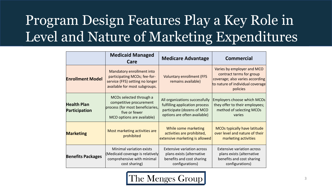## Program Design Features Play a Key Role in Level and Nature of Marketing Expenditures

|                                            | <b>Medicaid Managed</b><br>Care                                                                                                       | <b>Medicare Advantage</b>                                                                                                      | <b>Commercial</b>                                                                                                                         |
|--------------------------------------------|---------------------------------------------------------------------------------------------------------------------------------------|--------------------------------------------------------------------------------------------------------------------------------|-------------------------------------------------------------------------------------------------------------------------------------------|
| <b>Enrollment Model</b>                    | Mandatory enrollment into<br>participating MCOs; fee-for-<br>service (FFS) setting no longer<br>available for most subgroups.         | <b>Voluntary enrollment (FFS</b><br>remains available)                                                                         | Varies by employer and MCO<br>contract terms for group<br>coverage; also varies according<br>to nature of individual coverage<br>policies |
| <b>Health Plan</b><br><b>Participation</b> | MCOs selected through a<br>competitive procurement<br>process (for most beneficiaries,<br>five or fewer<br>MCO options are available) | All organizations successfully<br>fulfilling application process<br>participate (dozens of MCO<br>options are often available) | Employers choose which MCOs<br>they offer to their employees;<br>method of selecting MCOs<br>varies                                       |
| <b>Marketing</b>                           | Most marketing activities are<br>prohibited                                                                                           | While some marketing<br>activities are prohibited,<br>extensive marketing is allowed                                           | <b>MCOs typically have latitude</b><br>over level and nature of their<br>marketing activities                                             |
| <b>Benefits Packages</b>                   | Minimal variation exists<br>(Medicaid coverage is relatively<br>comprehensive with minimal<br>cost sharing)                           | <b>Extensive variation across</b><br>plans exists (alternative<br>benefits and cost sharing<br>configurations)                 | <b>Extensive variation across</b><br>plans exists (alternative<br>benefits and cost sharing<br>configurations)                            |

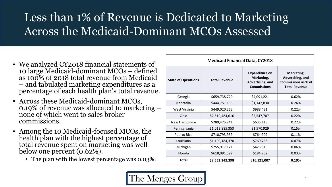### Less than 1% of Revenue is Dedicated to Marketing Across the Medicaid-Dominant MCOs Assessed

- We analyzed CY2018 financial statements of 10 large Medicaid-dominant MCOs – defined as 100% of 2018 total revenue from Medicaid – and tabulated marketing expenditures as a percentage of each health plan's total revenue.
- Across these Medicaid-dominant MCOs, 0.19% of revenue was allocated to marketing – none of which went to sales broker commissions.
- Among the 10 Medicaid-focused MCOs, the health plan with the highest percentage of total revenue spent on marketing was well below one percent (0.62%).
	- The plan with the lowest percentage was 0.03%.

| <b>Medicaid Financial Data, CY2018</b> |                      |                                                                               |                                                                               |  |  |
|----------------------------------------|----------------------|-------------------------------------------------------------------------------|-------------------------------------------------------------------------------|--|--|
| <b>State of Operations</b>             | <b>Total Revenue</b> | <b>Expenditure on</b><br>Marketing,<br>Advertising, and<br><b>Commissions</b> | Marketing,<br>Advertising, and<br>Commissions as % of<br><b>Total Revenue</b> |  |  |
| Georgia                                | \$659,738,729        | \$4,091,221                                                                   | 0.62%                                                                         |  |  |
| Nebraska                               | \$444,751,155        | \$1,142,830                                                                   | 0.26%                                                                         |  |  |
| West Virginia                          | \$449,020,262        | \$988,421                                                                     | 0.22%                                                                         |  |  |
| Ohio                                   | \$2,510,484,616      | \$5,547,707                                                                   | 0.22%                                                                         |  |  |
| New Hampshire                          | \$289,475,241        | \$635,113                                                                     | 0.22%                                                                         |  |  |
| Pennsylvania                           | \$1,013,885,353      | \$1,570,929                                                                   | 0.15%                                                                         |  |  |
| <b>Puerto Rico</b>                     | \$710,793,959        | \$764,902                                                                     | 0.11%                                                                         |  |  |
| \$1,100,184,370<br>Louisiana           |                      | \$769,736                                                                     | 0.07%                                                                         |  |  |
| \$755,917,121<br>Michigan              |                      | \$425,916                                                                     | 0.06%                                                                         |  |  |
| Florida                                | \$618,091,592        | \$184,232                                                                     | 0.03%                                                                         |  |  |
| Total                                  | \$8,552,342,398      | \$16,121,007                                                                  | 0.19%                                                                         |  |  |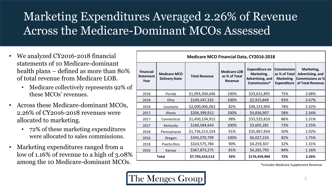### Marketing Expenditures Averaged 2.26% of Revenue Across the Medicare-Dominant MCOs Assessed

- We analyzed CY2016-2018 financial statements of 10 Medicare-dominant health plans – defined as more than 80% of total revenue from Medicare LOB.
	- Medicare collectively represents 92% of these MCOs' revenues.
- Across these Medicare-dominant MCOs, 2.26% of CY2016-2018 revenues were allocated to marketing.
	- 72% of these marketing expenditures were allocated to sales commissions.
- Marketing expenditures ranged from a low of 1.16% of revenue to a high of 3.08% among the 10 Medicare-dominant MCOs.

|                                              |                                              | <b>Medicare MCO Financial Data, CY2016-2018</b> |                                                 |                                                                         |                                                                         |                                                                        |  |
|----------------------------------------------|----------------------------------------------|-------------------------------------------------|-------------------------------------------------|-------------------------------------------------------------------------|-------------------------------------------------------------------------|------------------------------------------------------------------------|--|
| <b>Financial</b><br><b>Statement</b><br>Year | <b>Medicare MCO</b><br><b>Delivery State</b> | <b>Total Revenue</b>                            | <b>Medicare LOB</b><br>as % of Total<br>Revenue | <b>Expenditure on</b><br>Marketing,<br>Advertising, and<br>Commissions* | Commissions <br>as % of Total<br><b>Marketing</b><br><b>Expenditure</b> | Marketing,<br>Advertising, and<br>Commissions as %<br>of Total Revenue |  |
| 2018                                         | Florida                                      | \$1,093,304,646                                 | 100%                                            | \$33,631,895                                                            | 75%                                                                     | 3.08%                                                                  |  |
| 2018                                         | Ohio                                         | \$109,247,325                                   | 100%                                            | \$2,915,849                                                             | 93%                                                                     | 2.67%                                                                  |  |
| 2018                                         | Louisiana                                    | \$2,000,006,063                                 | 82%                                             | \$48,323,904                                                            | 78%                                                                     | 2.42%                                                                  |  |
| 2017                                         | <b>Illinois</b>                              | \$206,399,912                                   | 100%                                            | \$4,836,907                                                             | 58%                                                                     | 2.34%                                                                  |  |
| 2017                                         | Connecticut                                  | \$1,450,134,912                                 | 98%                                             | \$33,525,810                                                            | 86%                                                                     | 2.31%                                                                  |  |
| 2017                                         | Kentucky                                     | \$160,584,643                                   | 100%                                            | \$3,605,281                                                             | 72%                                                                     | 2.25%                                                                  |  |
| 2018                                         | Pennsylvania                                 | \$1,736,213,154                                 | 91%                                             | \$35,067,934                                                            | 50%                                                                     | 2.02%                                                                  |  |
| 2016                                         | Oregon                                       | \$345,070,799                                   | 100%                                            | \$6,027,224                                                             | 82%                                                                     | 1.75%                                                                  |  |
| 2018                                         | Puerto Rico                                  | \$324,575,784                                   | 90%                                             | \$4,259,307                                                             | 32%                                                                     | 1.31%                                                                  |  |
| 2016                                         | Kansas                                       | \$367,873,275                                   | 81%                                             | \$4,265,793                                                             | 84%                                                                     | 1.16%                                                                  |  |
| <b>Total</b>                                 |                                              | \$7,793,410,513                                 | 92%                                             | \$176,459,904                                                           | 72%                                                                     | 2.26%                                                                  |  |

\*Includes Medicare Supplement Revenue

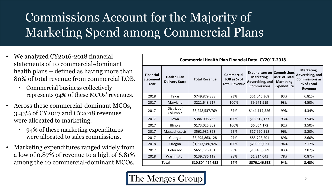## Commissions Account for the Majority of Marketing Spend among Commercial Plans

- We analyzed CY2016-2018 financial statements of 10 commercial-dominant health plans – defined as having more than 80% of total revenue from commercial LOB.
	- Commercial business collectively represents 94% of these MCOs' revenues.
- Across these commercial-dominant MCOs, 3.43% of CY2017 and CY2018 revenues were allocated to marketing.
	- 94% of these marketing expenditures were allocated to sales commissions.
- Marketing expenditures ranged widely from a low of 0.87% of revenue to a high of 6.81% among the 10 commercial-dominant MCOs.

|                                              | <b>Commercial Health Plan Financial Data, CY2017-2018</b> |                      |                                                          |                                                                                           |                                                         |                                                                                         |  |
|----------------------------------------------|-----------------------------------------------------------|----------------------|----------------------------------------------------------|-------------------------------------------------------------------------------------------|---------------------------------------------------------|-----------------------------------------------------------------------------------------|--|
| <b>Financial</b><br><b>Statement</b><br>Year | <b>Health Plan</b><br><b>Delivery State</b>               | <b>Total Revenue</b> | <b>Commercial</b><br>LOB as % of<br><b>Total Revenue</b> | <b>Expenditure on Commissions</b><br>Marketing,<br>Advertising, and<br><b>Commissions</b> | as % of Total<br><b>Marketing</b><br><b>Expenditure</b> | Marketing,<br>Advertising, and<br><b>Commissions as</b><br>% of Total<br><b>Revenue</b> |  |
| 2018                                         | Texas                                                     | \$749,879,888        | 93%                                                      | \$51,046,368                                                                              | 93%                                                     | 6.81%                                                                                   |  |
| 2017                                         | Maryland                                                  | \$221,648,917        | 100%                                                     | \$9,971,919                                                                               | 93%                                                     | 4.50%                                                                                   |  |
| 2017                                         | District of<br>Columbia                                   | \$3,248,537,769      | 87%                                                      | \$141,117,526                                                                             | 99%                                                     | 4.34%                                                                                   |  |
| 2017                                         | lowa                                                      | \$384,008,765        | 100%                                                     | \$13,612,133                                                                              | 93%                                                     | 3.54%                                                                                   |  |
| 2017                                         | Illinois                                                  | \$173,025,302        | 100%                                                     | \$6,054,172                                                                               | 92%                                                     | 3.50%                                                                                   |  |
| 2017                                         | Massachusetts                                             | \$562,981,393        | 95%                                                      | \$17,990,518                                                                              | 96%                                                     | 3.20%                                                                                   |  |
| 2017                                         | Georgia                                                   | \$3,295,863,128      | 97%                                                      | \$85,728,201                                                                              | 89%                                                     | 2.60%                                                                                   |  |
| 2018                                         | Oregon                                                    | \$1,377,586,926      | 100%                                                     | \$29,953,021                                                                              | 94%                                                     | 2.17%                                                                                   |  |
| 2017                                         | Colorado                                                  | \$651,176,451        | 98%                                                      | \$13,458,689                                                                              | 83%                                                     | 2.07%                                                                                   |  |
| 2018                                         | Washington                                                | \$139,786,119        | 98%                                                      | \$1,214,041                                                                               | 78%                                                     | 0.87%                                                                                   |  |
| <b>Total</b>                                 |                                                           | \$10,804,494,658     | 94%                                                      | \$370,146,588                                                                             | 94%                                                     | 3.43%                                                                                   |  |

#### The Menges Group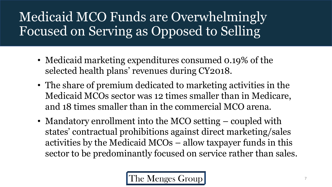## Medicaid MCO Funds are Overwhelmingly Focused on Serving as Opposed to Selling

- Medicaid marketing expenditures consumed 0.19% of the selected health plans' revenues during CY2018.
- The share of premium dedicated to marketing activities in the Medicaid MCOs sector was 12 times smaller than in Medicare, and 18 times smaller than in the commercial MCO arena.
- Mandatory enrollment into the MCO setting coupled with states' contractual prohibitions against direct marketing/sales activities by the Medicaid MCOs – allow taxpayer funds in this sector to be predominantly focused on service rather than sales.